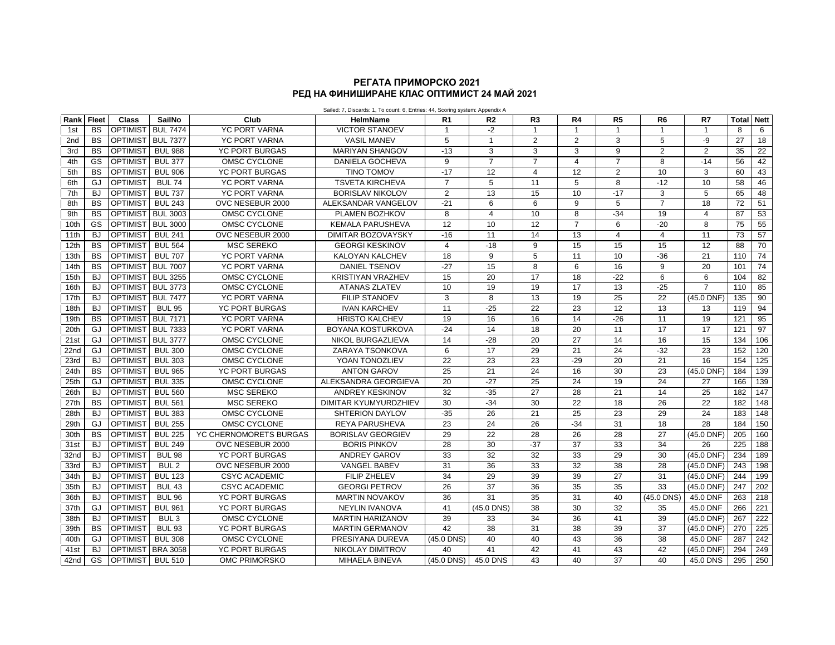## **РЕД НА ФИНИШИРАНЕ КЛАС ОПТИМИСТ 24 МАЙ 2021 РЕГАТА ПРИМОРСКО 2021**

| Rank             | <b>Fleet</b> | Class             | SailNo           | Club                   | Jalieu. 7, Discarus. 1, TO count. 0, Linnes. 44, Oconing System. Appenuix A<br><b>HelmName</b> | R <sub>1</sub>  | R <sub>2</sub> | R <sub>3</sub>  | R4             | R <sub>5</sub>  | R6             | R7                      | Total | <b>Nett</b>      |
|------------------|--------------|-------------------|------------------|------------------------|------------------------------------------------------------------------------------------------|-----------------|----------------|-----------------|----------------|-----------------|----------------|-------------------------|-------|------------------|
| 1st              | <b>BS</b>    | <b>OPTIMIST</b>   | <b>BUL 7474</b>  | <b>YC PORT VARNA</b>   | <b>VICTOR STANOEV</b>                                                                          | $\mathbf{1}$    | $-2$           | $\overline{1}$  | $\mathbf{1}$   | $\mathbf{1}$    | $\mathbf{1}$   | $\overline{\mathbf{1}}$ | 8     | 6                |
| 2 <sub>nd</sub>  | <b>BS</b>    | <b>OPTIMIST</b>   | <b>BUL 7377</b>  | <b>YC PORT VARNA</b>   | <b>VASIL MANEV</b>                                                                             | 5               | $\mathbf{1}$   | 2               | $\overline{2}$ | 3               | 5              | -9                      | 27    | 18               |
| 3rd              | <b>BS</b>    | <b>OPTIMIST</b>   | <b>BUL 988</b>   | YC PORT BURGAS         | <b>MARIYAN SHANGOV</b>                                                                         | $-13$           | 3              | 3               | 3              | 9               | $\overline{2}$ | $\overline{2}$          | 35    | 22               |
| 4th              | GS           | <b>OPTIMIST</b>   | <b>BUL 377</b>   | OMSC CYCLONE           | DANIELA GOCHEVA                                                                                | 9               | $\overline{7}$ | $\overline{7}$  | $\overline{4}$ | $\overline{7}$  | 8              | $-14$                   | 56    | 42               |
| 5th              | <b>BS</b>    | <b>OPTIMIST</b>   | <b>BUL 906</b>   | <b>YC PORT BURGAS</b>  | <b>TINO TOMOV</b>                                                                              | $-17$           | 12             | $\overline{4}$  | 12             | $\overline{2}$  | 10             | 3                       | 60    | 43               |
| 6th              | GJ           | <b>OPTIMIST</b>   | <b>BUL 74</b>    | <b>YC PORT VARNA</b>   | <b>TSVETA KIRCHEVA</b>                                                                         | $\overline{7}$  | 5              | 11              | 5              | 8               | $-12$          | 10                      | 58    | 46               |
| 7th              | <b>BJ</b>    | <b>OPTIMIST</b>   | <b>BUL 737</b>   | YC PORT VARNA          | <b>BORISLAV NIKOLOV</b>                                                                        | 2               | 13             | 15              | 10             | $-17$           | 3              | 5                       | 65    | 48               |
| 8th              | <b>BS</b>    | <b>OPTIMIST</b>   | <b>BUL 243</b>   | OVC NESEBUR 2000       | ALEKSANDAR VANGELOV                                                                            | $-21$           | 6              | 6               | 9              | 5               | $\overline{7}$ | 18                      | 72    | 51               |
| 9th              | <b>BS</b>    | <b>OPTIMIST</b>   | <b>BUL 3003</b>  | OMSC CYCLONE           | PLAMEN BOZHKOV                                                                                 | 8               | $\overline{4}$ | 10              | 8              | $-34$           | 19             | $\overline{4}$          | 87    | 53               |
| 10th             | GS           | <b>OPTIMIST</b>   | <b>BUL 3000</b>  | OMSC CYCLONE           | <b>KEMALA PARUSHEVA</b>                                                                        | 12              | 10             | 12              | $\overline{7}$ | 6               | $-20$          | 8                       | 75    | 55               |
| 11th             | BJ           | <b>OPTIMIST</b>   | <b>BUL 241</b>   | OVC NESEBUR 2000       | <b>DIMITAR BOZOVAYSKY</b>                                                                      | $-16$           | 11             | 14              | 13             | $\overline{4}$  | 4              | 11                      | 73    | 57               |
| 12th             | <b>BS</b>    | <b>OPTIMIST</b>   | <b>BUL 564</b>   | <b>MSC SEREKO</b>      | <b>GEORGI KESKINOV</b>                                                                         | $\overline{4}$  | $-18$          | 9               | 15             | 15              | 15             | 12                      | 88    | 70               |
| 13th             | <b>BS</b>    | <b>OPTIMIST</b>   | <b>BUL 707</b>   | <b>YC PORT VARNA</b>   | <b>KALOYAN KALCHEV</b>                                                                         | 18              | 9              | 5               | 11             | 10              | $-36$          | 21                      | 110   | 74               |
| 14th             | <b>BS</b>    | <b>OPTIMIST</b>   | <b>BUL 7007</b>  | YC PORT VARNA          | <b>DANIEL TSENOV</b>                                                                           | $-27$           | 15             | 8               | 6              | 16              | 9              | 20                      | 101   | 74               |
| 15th             | <b>BJ</b>    | <b>OPTIMIST</b>   | <b>BUL 3255</b>  | OMSC CYCLONE           | <b>KRISTIYAN VRAZHEV</b>                                                                       | 15              | 20             | 17              | 18             | $-22$           | 6              | 6                       | 104   | 82               |
| 16th             | <b>BJ</b>    | OPTIMIST BUL 3773 |                  | OMSC CYCLONE           | <b>ATANAS ZLATEV</b>                                                                           | 10              | 19             | 19              | 17             | 13              | $-25$          | $\overline{7}$          | 110   | 85               |
| 17th             | BJ           | <b>OPTIMIST</b>   | <b>BUL 7477</b>  | <b>YC PORT VARNA</b>   | <b>FILIP STANOEV</b>                                                                           | 3               | 8              | 13              | 19             | 25              | 22             | (45.0 DNF)              | 135   | 90               |
| 18th             | BJ           | <b>OPTIMIST</b>   | <b>BUL 95</b>    | YC PORT BURGAS         | <b>IVAN KARCHEV</b>                                                                            | 11              | $-25$          | 22              | 23             | 12              | 13             | 13                      | 119   | 94               |
| 19th             | <b>BS</b>    | <b>OPTIMIST</b>   | <b>BUL 7171</b>  | <b>YC PORT VARNA</b>   | <b>HRISTO KALCHEV</b>                                                                          | 19              | 16             | 16              | 14             | $-26$           | 11             | 19                      | 121   | 95               |
| 20th             | GJ           | <b>OPTIMIST</b>   | <b>BUL 7333</b>  | YC PORT VARNA          | <b>BOYANA KOSTURKOVA</b>                                                                       | $-24$           | 14             | $\overline{18}$ | 20             | 11              | 17             | 17                      | 121   | 97               |
| 21st             | GJ           | <b>OPTIMIST</b>   | <b>BUL 3777</b>  | OMSC CYCLONE           | NIKOL BURGAZLIEVA                                                                              | 14              | $-28$          | 20              | 27             | 14              | 16             | 15                      | 134   | 106              |
| 22 <sub>nd</sub> | GJ           | <b>OPTIMIST</b>   | <b>BUL 300</b>   | OMSC CYCLONE           | ZARAYA TSONKOVA                                                                                | 6               | 17             | 29              | 21             | 24              | $-32$          | 23                      | 152   | 120              |
| 23rd             | BJ           | <b>OPTIMIST</b>   | <b>BUL 303</b>   | OMSC CYCLONE           | YOAN TONOZLIEV                                                                                 | $\overline{22}$ | 23             | 23              | $-29$          | 20              | 21             | 16                      | 154   | $\frac{125}{25}$ |
| 24th             | <b>BS</b>    | <b>OPTIMIST</b>   | <b>BUL 965</b>   | YC PORT BURGAS         | <b>ANTON GAROV</b>                                                                             | 25              | 21             | 24              | 16             | 30              | 23             | (45.0 DNF)              | 184   | 139              |
| 25th             | GJ           | <b>OPTIMIST</b>   | <b>BUL 335</b>   | OMSC CYCLONE           | ALEKSANDRA GEORGIEVA                                                                           | 20              | $-27$          | 25              | 24             | 19              | 24             | 27                      | 166   | 139              |
| 26th             | BJ           | <b>OPTIMIST</b>   | <b>BUL 560</b>   | <b>MSC SEREKO</b>      | <b>ANDREY KESKINOV</b>                                                                         | 32              | $-35$          | 27              | 28             | 21              | 14             | 25                      | 182   | 147              |
| 27th             | <b>BS</b>    | <b>OPTIMIST</b>   | <b>BUL 561</b>   | <b>MSC SEREKO</b>      | DIMITAR KYUMYURDZHIEV                                                                          | 30              | $-34$          | 30              | 22             | 18              | 26             | 22                      | 182   | 148              |
| 28th             | BJ           | <b>OPTIMIST</b>   | <b>BUL 383</b>   | OMSC CYCLONE           | <b>SHTERION DAYLOV</b>                                                                         | $-35$           | 26             | 21              | 25             | 23              | 29             | 24                      | 183   | 148              |
| 29th             | GJ.          | <b>OPTIMIST</b>   | <b>BUL 255</b>   | OMSC CYCLONE           | <b>REYA PARUSHEVA</b>                                                                          | 23              | 24             | 26              | $-34$          | 31              | 18             | 28                      | 184   | 150              |
| 30th             | <b>BS</b>    | <b>OPTIMIST</b>   | <b>BUL 225</b>   | YC CHERNOMORETS BURGAS | <b>BORISLAV GEORGIEV</b>                                                                       | 29              | 22             | 28              | 26             | $\overline{28}$ | 27             | (45.0 DNF)              | 205   | 160              |
| 31st             | <b>BJ</b>    | <b>OPTIMIST</b>   | <b>BUL 249</b>   | OVC NESEBUR 2000       | <b>BORIS PINKOV</b>                                                                            | 28              | 30             | $-37$           | 37             | 33              | 34             | 26                      | 225   | 188              |
| 32nd             | <b>BJ</b>    | <b>OPTIMIST</b>   | <b>BUL 98</b>    | <b>YC PORT BURGAS</b>  | <b>ANDREY GAROV</b>                                                                            | 33              | 32             | 32              | 33             | 29              | 30             | (45.0 DNF)              | 234   | 189              |
| 33rd             | BJ           | <b>OPTIMIST</b>   | BUL <sub>2</sub> | OVC NESEBUR 2000       | <b>VANGEL BABEV</b>                                                                            | 31              | 36             | 33              | 32             | 38              | 28             | (45.0 DNF)              | 243   | 198              |
| 34th             | <b>BJ</b>    | <b>OPTIMIST</b>   | <b>BUL 123</b>   | <b>CSYC ACADEMIC</b>   | <b>FILIP ZHELEV</b>                                                                            | 34              | 29             | 39              | 39             | $\overline{27}$ | 31             | (45.0 DNF)              | 244   | 199              |
| 35th             | <b>BJ</b>    | <b>OPTIMIST</b>   | <b>BUL 43</b>    | <b>CSYC ACADEMIC</b>   | <b>GEORGI PETROV</b>                                                                           | 26              | 37             | 36              | 35             | 35              | 33             | (45.0 DNF)              | 247   | 202              |
| 36th             | BJ           | <b>OPTIMIST</b>   | <b>BUL 96</b>    | <b>YC PORT BURGAS</b>  | <b>MARTIN NOVAKOV</b>                                                                          | 36              | 31             | 35              | 31             | 40              | (45.0 DNS)     | 45.0 DNF                | 263   | $\overline{218}$ |
| 37th             | GJ           | <b>OPTIMIST</b>   | <b>BUL 961</b>   | <b>YC PORT BURGAS</b>  | <b>NEYLIN IVANOVA</b>                                                                          | 41              | (45.0 DNS)     | $\overline{38}$ | 30             | 32              | 35             | 45.0 DNF                | 266   | 221              |
| 38th             | BJ           | <b>OPTIMIST</b>   | BUL <sub>3</sub> | OMSC CYCLONE           | <b>MARTIN HARIZANOV</b>                                                                        | 39              | 33             | 34              | 36             | 41              | 39             | (45.0 DNF)              | 267   | 222              |
| 39th             | <b>BS</b>    | <b>OPTIMIST</b>   | <b>BUL 93</b>    | <b>YC PORT BURGAS</b>  | <b>MARTIN GERMANOV</b>                                                                         | 42              | 38             | 31              | 38             | 39              | 37             | (45.0 DNF)              | 270   | $\overline{225}$ |
| 40th             | GJ           | <b>OPTIMIST</b>   | <b>BUL 308</b>   | OMSC CYCLONE           | PRESIYANA DUREVA                                                                               | (45.0 DNS)      | 40             | 40              | 43             | 36              | 38             | 45.0 DNF                | 287   | 242              |
| 41 <sub>st</sub> | <b>BJ</b>    | <b>OPTIMIST</b>   | <b>BRA 3058</b>  | YC PORT BURGAS         | <b>NIKOLAY DIMITROV</b>                                                                        | 40              | 41             | 42              | 41             | 43              | 42             | (45.0 DNF)              | 294   | 249              |
| 42nd             | GS           | <b>OPTIMIST</b>   | <b>BUL 510</b>   | OMC PRIMORSKO          | MIHAELA BINEVA                                                                                 | (45.0 DNS)      | 45.0 DNS       | 43              | 40             | 37              | 40             | 45.0 DNS                | 295   | 250              |

Sailed: 7, Discards: 1, To count: 6, Entries: 44, Scoring system: Appendix A